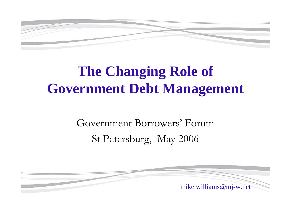

# **The Changing Role of Government Debt Management**

#### Government Borrowers'Forum St Petersburg, May 2006

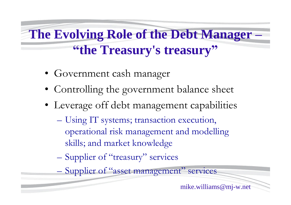**The Evolving Role of the Debt Manager – "the Treasury's treasury"**

- Government cash manager
- Controlling the government balance sheet
- Leverage off debt management capabilities
	- –Using IT systems; transaction execution, operational risk management and modelling skills; and market knowledge
	- Supplier of "treasury" services

– Supplier of "asset management" services

mike.williams@mj-w.net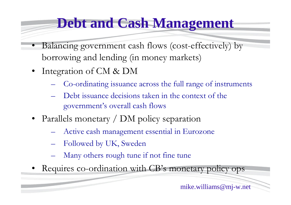### **Debt and Cash Management**

- •Balancing government cash flows (cost-effectively) by borrowing and lending (in money markets)
- Integration of CM & DM
	- Co-ordinating issuance across the full range of instruments
	- Debt issuance decisions taken in the context of the government's overall cash flows
- Parallels monetary / DM policy separation
	- Active cash management essential in Eurozone
	- Followed by UK, Sweden
	- Many others rough tune if not fine tune
- Requires co-ordination with CB's monetary policy ops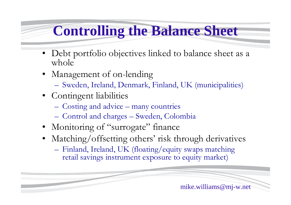### **Controlling the Balance Sheet**

- Debt portfolio objectives linked to balance sheet as a whole
- Management of on-lending
	- –Sweden, Ireland, Denmark, Finland, UK (municipalities)
- Contingent liabilities
	- Costing and advice many countries
	- –Control and charges –Sweden, Colombia
- Monitoring of "surrogate" finance
- Matching/offsetting others' risk through derivatives
	- –Finland, Ireland, UK (floating/equity swaps matching retail savings instrument exposure to equity market)

mike.williams@mj-w.net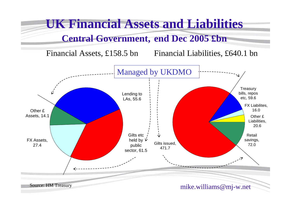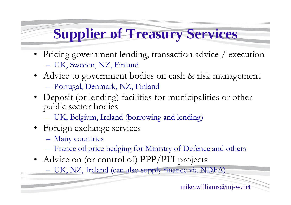# **Supplier of Treasury Services**

- •Pricing government lending, transaction advice / execution –UK, Sweden, NZ, Finland
- Advice to government bodies on cash & risk management –Portugal, Denmark, NZ, Finland
- •Deposit (or lending) facilities for municipalities or other public sector bodies
	- –UK, Belgium, Ireland (borrowing and lending)
- Foreign exchange services
	- –Many countries
	- –France oil price hedging for Ministry of Defence and others
- Advice on (or control of) PPP/PFI projects
	- –UK, NZ, Ireland (can also supply finance via NDFA)